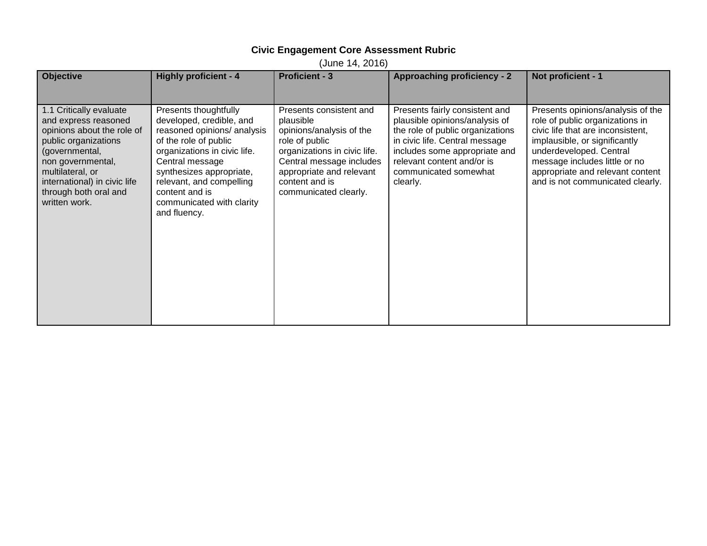## **Civic Engagement Core Assessment Rubric**

(June 14, 2016)

| <b>Objective</b>                                                                                                                                                                                                                           | <b>Highly proficient - 4</b>                                                                                                                                                                                                                                                        | <b>Proficient - 3</b>                                                                                                                                                                                                 | <b>Approaching proficiency - 2</b>                                                                                                                                                                                                         | Not proficient - 1                                                                                                                                                                                                                                                             |
|--------------------------------------------------------------------------------------------------------------------------------------------------------------------------------------------------------------------------------------------|-------------------------------------------------------------------------------------------------------------------------------------------------------------------------------------------------------------------------------------------------------------------------------------|-----------------------------------------------------------------------------------------------------------------------------------------------------------------------------------------------------------------------|--------------------------------------------------------------------------------------------------------------------------------------------------------------------------------------------------------------------------------------------|--------------------------------------------------------------------------------------------------------------------------------------------------------------------------------------------------------------------------------------------------------------------------------|
| 1.1 Critically evaluate<br>and express reasoned<br>opinions about the role of<br>public organizations<br>(governmental,<br>non governmental,<br>multilateral, or<br>international) in civic life<br>through both oral and<br>written work. | Presents thoughtfully<br>developed, credible, and<br>reasoned opinions/ analysis<br>of the role of public<br>organizations in civic life.<br>Central message<br>synthesizes appropriate,<br>relevant, and compelling<br>content and is<br>communicated with clarity<br>and fluency. | Presents consistent and<br>plausible<br>opinions/analysis of the<br>role of public<br>organizations in civic life.<br>Central message includes<br>appropriate and relevant<br>content and is<br>communicated clearly. | Presents fairly consistent and<br>plausible opinions/analysis of<br>the role of public organizations<br>in civic life. Central message<br>includes some appropriate and<br>relevant content and/or is<br>communicated somewhat<br>clearly. | Presents opinions/analysis of the<br>role of public organizations in<br>civic life that are inconsistent,<br>implausible, or significantly<br>underdeveloped. Central<br>message includes little or no<br>appropriate and relevant content<br>and is not communicated clearly. |